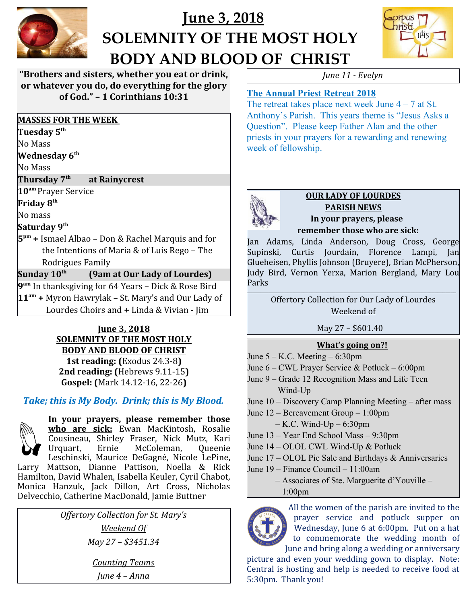

# **June 3, 2018 SOLEMNITY OF THE MOST HOLY BODY AND BLOOD OF CHRIST**



**"Brothers and sisters, whether you eat or drink, or whatever you do, do everything for the glory of God." – 1 Corinthians 10:31**

#### **MASSES FOR THE WEEK**

**Tuesday 5th** 

No Mass

**Wednesday 6th** 

No Mass

**Thursday 7th at Rainycrest**

**10am** Prayer Service

**Friday 8th** 

No mass

## **Saturday 9th**

**5 pm +** Ismael Albao – Don & Rachel Marquis and for the Intentions of Maria & of Luis Rego – The Rodrigues Family

## **Sunday 10th (9am at Our Lady of Lourdes)**

**9 am** In thanksgiving for 64 Years – Dick & Rose Bird **11am +** Myron Hawrylak – St. Mary's and Our Lady of Lourdes Choirs and **+** Linda & Vivian - Jim

#### **June 3, 2018 SOLEMNITY OF THE MOST HOLY BODY AND BLOOD OF CHRIST**

**1st reading: (**Exodus 24.3-8**) 2nd reading: (**Hebrews 9.11-15**) Gospel: (**Mark 14.12-16, 22-26**)**

# *Take; this is My Body. Drink; this is My Blood.*



**In your prayers, please remember those who are sick:** Ewan MacKintosh, Rosalie Cousineau, Shirley Fraser, Nick Mutz, Kari Urquart, Ernie McColeman, Queenie Leschinski, Maurice DeGagné, Nicole LePine, Larry Mattson, Dianne Pattison, Noella & Rick

Hamilton, David Whalen, Isabella Keuler, Cyril Chabot, Monica Hanzuk, Jack Dillon, Art Cross, Nicholas Delvecchio, Catherine MacDonald, Jamie Buttner

> *Offertory Collection for St. Mary's Weekend Of May 27 – \$3451.34*

> > *Counting Teams June 4 – Anna*

*June 11 - Evelyn*

# **The Annual Priest Retreat 2018**

The retreat takes place next week June  $4 - 7$  at St. Anthony's Parish. This years theme is "Jesus Asks a Question". Please keep Father Alan and the other priests in your prayers for a rewarding and renewing week of fellowship.



#### **OUR LADY OF LOURDES PARISH NEWS In your prayers, please remember those who are sick:**

Jan Adams, Linda Anderson, Doug Cross, George Supinski, Curtis Jourdain, Florence Lampi, Jan Glueheisen, Phyllis Johnson (Bruyere), Brian McPherson, Judy Bird, Vernon Yerxa, Marion Bergland, Mary Lou Parks

**\_\_\_\_\_\_\_\_\_\_\_\_\_\_\_\_\_\_\_\_\_\_\_\_\_\_\_\_\_\_\_\_\_\_\_\_\_\_\_\_\_\_\_\_\_\_\_\_\_\_\_\_\_\_\_\_\_\_\_\_\_\_\_\_\_\_\_\_\_\_\_\_\_\_\_\_\_\_** Offertory Collection for Our Lady of Lourdes Weekend of

# May 27 – \$601.40

## **What's going on?!**

- June  $5 K.C.$  Meeting  $6:30 \text{pm}$
- June 6 CWL Prayer Service & Potluck 6:00pm
- June 9 Grade 12 Recognition Mass and Life Teen Wind-Up
- June 10 Discovery Camp Planning Meeting after mass
- June 12 Bereavement Group 1:00pm
	- $-$  K.C. Wind-Up  $-$  6:30pm
- June 13 Year End School Mass 9:30pm
- June 14 OLOL CWL Wind-Up & Potluck
- June 17 OLOL Pie Sale and Birthdays & Anniversaries
- June 19 Finance Council 11:00am
	- Associates of Ste. Marguerite d'Youville 1:00pm



All the women of the parish are invited to the prayer service and potluck supper on Wednesday, June 6 at 6:00pm. Put on a hat to commemorate the wedding month of June and bring along a wedding or anniversary

picture and even your wedding gown to display. Note: Central is hosting and help is needed to receive food at 5:30pm. Thank you!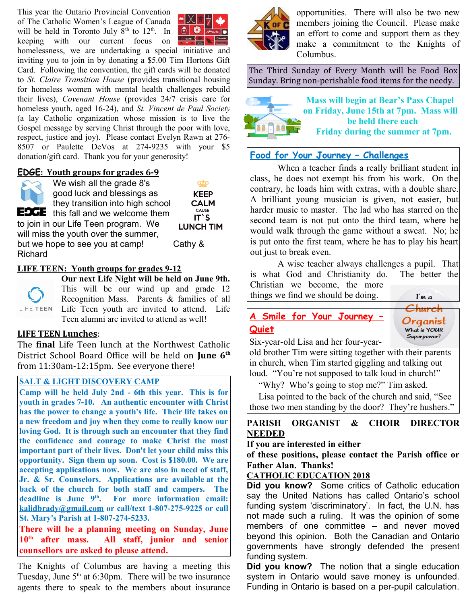This year the Ontario Provincial Convention of The Catholic Women's League of Canada will be held in Toronto July  $8<sup>th</sup>$  to  $12<sup>th</sup>$ . In keeping with our current focus on



homelessness, we are undertaking a special initiative and inviting you to join in by donating a \$5.00 Tim Hortons Gift Card. Following the convention, the gift cards will be donated to *St. Claire Transition House* (provides transitional housing for homeless women with mental health challenges rebuild their lives), *Covenant House* (provides 24/7 crisis care for homeless youth, aged 16-24), and *St. Vincent de Paul Society* (a lay Catholic organization whose mission is to live the Gospel message by serving Christ through the poor with love, respect, justice and joy). Please contact Evelyn Rawn at 276- 8507 or Paulette DeVos at 274-9235 with your \$5 donation/gift card. Thank you for your generosity!

#### **EDGE: Youth groups for grades 6-9**



We wish all the grade 8's good luck and blessings as they transition into high school **EDGE** this fall and we welcome them

ಯಾ **KEEP CALM** CAUSE  $IT'S$ **LUNCH TIM** 

will miss the youth over the summer, but we hope to see you at camp! Cathy & Richard

to join in our Life Teen program. We

#### **LIFE TEEN: Youth groups for grades 9-12**



**Our next Life Night will be held on June 9th.** This will be our wind up and grade 12 Recognition Mass. Parents & families of all Life Teen youth are invited to attend. Life Teen alumni are invited to attend as well!

#### **LIFE TEEN Lunches**:

The **final** Life Teen lunch at the Northwest Catholic District School Board Office will be held on **June 6th** from 11:30am-12:15pm. See everyone there!

#### **SALT & LIGHT DISCOVERY CAMP**

**Camp will be held July 2nd - 6th this year. This is for youth in grades 7-10. An authentic encounter with Christ has the power to change a youth's life. Their life takes on a new freedom and joy when they come to really know our loving God. It is through such an encounter that they find the confidence and courage to make Christ the most important part of their lives. Don't let your child miss this opportunity. Sign them up soon. Cost is \$180.00. We are accepting applications now. We are also in need of staff, Jr. & Sr. Counselors. Applications are available at the back of the church for both staff and campers. The deadline is June 9th. For more information email: [kalidbrady@gmail.com](mailto:kalidbrady@gmail.com) or call/text 1-807-275-9225 or call St. Mary's Parish at 1-807-274-5233.**

**There will be a planning meeting on Sunday, June 10th after mass. All staff, junior and senior counsellors are asked to please attend.**

The Knights of Columbus are having a meeting this Tuesday, June  $5<sup>th</sup>$  at 6:30pm. There will be two insurance agents there to speak to the members about insurance



opportunities. There will also be two new members joining the Council. Please make an effort to come and support them as they make a commitment to the Knights of Columbus.

The Third Sunday of Every Month will be Food Box Sunday. Bring non-perishable food items for the needy.



**Mass will begin at Bear's Pass Chapel on Friday, June 15th at 7pm. Mass will be held there each Friday during the summer at 7pm.**

## **Food for Your Journey – Challenges**

When a teacher finds a really brilliant student in class, he does not exempt his from his work. On the contrary, he loads him with extras, with a double share. A brilliant young musician is given, not easier, but harder music to master. The lad who has starred on the second team is not put onto the third team, where he would walk through the game without a sweat. No; he is put onto the first team, where he has to play his heart out just to break even.

A wise teacher always challenges a pupil. That is what God and Christianity do. The better the Christian we become, the more things we find we should be doing. I'm a

# **A Smile for Your Journey – Quiet**



Six-year-old Lisa and her four-year-

old brother Tim were sitting together with their parents in church, when Tim started giggling and talking out loud. "You're not supposed to talk loud in church!"

"Why? Who's going to stop me?" Tim asked.

 Lisa pointed to the back of the church and said, "See those two men standing by the door? They're hushers."

#### **PARISH ORGANIST & CHOIR DIRECTOR NEEDED**

#### **If you are interested in either**

**of these positions, please contact the Parish office or Father Alan. Thanks!**

#### **CATHOLIC EDUCATION 2018**

**Did you know?** Some critics of Catholic education say the United Nations has called Ontario's school funding system 'discriminatory'. In fact, the U.N. has not made such a ruling. It was the opinion of some members of one committee – and never moved beyond this opinion. Both the Canadian and Ontario governments have strongly defended the present funding system.

**Did you know?** The notion that a single education system in Ontario would save money is unfounded. Funding in Ontario is based on a per-pupil calculation.